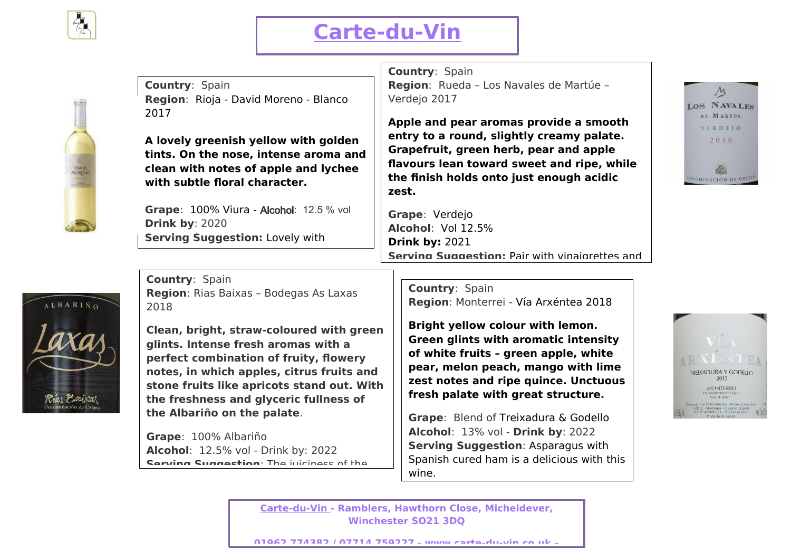

## **Carte-du-Vin**

**Country**: Spain **Region**: Rioja - David Moreno - Blanco 2017

**A lovely greenish yellow with golden tints. On the nose, intense aroma and clean with notes of apple and lychee with subtle floral character.**

**Grape**: 100% Viura - Alcohol: 12.5 % vol **Drink by**: 2020 **Serving Suggestion:** Lovely with

appetizers and snacks, vegetables and snacks, vegetables and snacks, vegetables and

j **Country**: Spain **Region**: Rueda – Los Navales de Martúe – Verdejo 2017

**Apple and pear aromas provide a smooth entry to a round, slightly creamy palate. Grapefruit, green herb, pear and apple flavours lean toward sweet and ripe, while the finish holds onto just enough acidic zest.**

**Grape**: Verdejo **Alcohol**: Vol 12.5% **Drink by:** 2021 **Serving Suggestion:** Pair with vinaigrettes and

 $ALBARIÑO$ 

**Country**: Spain **Region**: Rias Baixas – Bodegas As Laxas 2018

**Clean, bright, straw-coloured with green glints. Intense fresh aromas with a perfect combination of fruity, flowery notes, in which apples, citrus fruits and stone fruits like apricots stand out. With the freshness and glyceric fullness of the Albariño on the palate**.

**Grape**: 100% Albariño **Alcohol**: 12.5% vol - Drink by: 2022 **Sarving Suggestion**: The iniciness of the **Country**: Spain **Region**: Monterrei - Vía Arxéntea 2018

**Bright yellow colour with lemon. Green glints with aromatic intensity of white fruits – green apple, white pear, melon peach, mango with lime zest notes and ripe quince. Unctuous fresh palate with great structure.**

**Grape**: Blend of Treixadura & Godello **Alcohol**: 13% vol - **Drink by**: 2022 **Serving Suggestion: Asparagus with** Spanish cured ham is a delicious with this wine.

**Carte-du-Vin - Ramblers, Hawthorn Close, Micheldever, Winchester SO21 3DQ**





**01962 774382 / 07714 759227 - www.carte-du-vin.co.uk –**